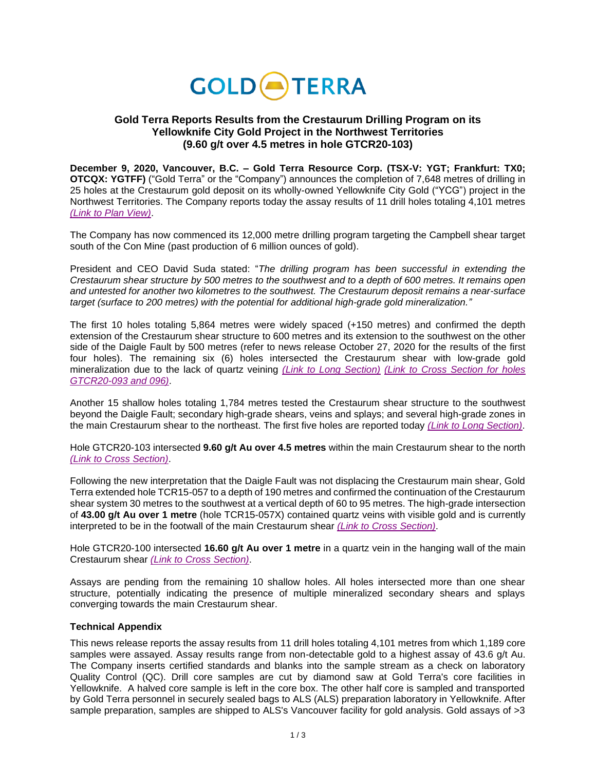

# **Gold Terra Reports Results from the Crestaurum Drilling Program on its Yellowknife City Gold Project in the Northwest Territories (9.60 g/t over 4.5 metres in hole GTCR20-103)**

**December 9, 2020, Vancouver, B.C. – Gold Terra Resource Corp. (TSX-V: YGT; Frankfurt: TX0; OTCQX: YGTFF)** ("Gold Terra" or the "Company") announces the completion of 7,648 metres of drilling in 25 holes at the Crestaurum gold deposit on its wholly-owned Yellowknife City Gold ("YCG") project in the Northwest Territories. The Company reports today the assay results of 11 drill holes totaling 4,101 metres *[\(Link to Plan View\)](https://goldterracorp.com/site/assets/files/3003/gtcr20-093-098_mapfig-nopending_20201207.jpg)*.

The Company has now commenced its 12,000 metre drilling program targeting the Campbell shear target south of the Con Mine (past production of 6 million ounces of gold).

President and CEO David Suda stated: "*The drilling program has been successful in extending the Crestaurum shear structure by 500 metres to the southwest and to a depth of 600 metres. It remains open and untested for another two kilometres to the southwest. The Crestaurum deposit remains a near-surface target (surface to 200 metres) with the potential for additional high-grade gold mineralization."*

The first 10 holes totaling 5,864 metres were widely spaced (+150 metres) and confirmed the depth extension of the Crestaurum shear structure to 600 metres and its extension to the southwest on the other side of the Daigle Fault by 500 metres (refer to news release October 27, 2020 for the results of the first four holes). The remaining six (6) holes intersected the Crestaurum shear with low-grade gold mineralization due to the lack of quartz veining *[\(Link to Long Section\)](https://goldterracorp.com/site/assets/files/3003/crestls_20201208-e.png) [\(Link to Cross Section](https://goldterracorp.com/site/assets/files/3003/nr_250ncr_gtcr20-093-096_20201207-merged.pdf) for holes [GTCR20-093 and 096\)](https://goldterracorp.com/site/assets/files/3003/nr_250ncr_gtcr20-093-096_20201207-merged.pdf)*.

Another 15 shallow holes totaling 1,784 metres tested the Crestaurum shear structure to the southwest beyond the Daigle Fault; secondary high-grade shears, veins and splays; and several high-grade zones in the main Crestaurum shear to the northeast. The first five holes are reported today *[\(Link to Long](https://goldterracorp.com/site/assets/files/3003/crestls_20201208-e.png) Section)*.

Hole GTCR20-103 intersected **9.60 g/t Au over 4.5 metres** within the main Crestaurum shear to the north *[\(Link to Cross](https://goldterracorp.com/site/assets/files/3003/nr_1050ncr_gtcr20-103_20201207.pdf) Section)*.

Following the new interpretation that the Daigle Fault was not displacing the Crestaurum main shear, Gold Terra extended hole TCR15-057 to a depth of 190 metres and confirmed the continuation of the Crestaurum shear system 30 metres to the southwest at a vertical depth of 60 to 95 metres. The high-grade intersection of **43.00 g/t Au over 1 metre** (hole TCR15-057X) contained quartz veins with visible gold and is currently interpreted to be in the footwall of the main Crestaurum shear *[\(Link to Cross Section\)](https://goldterracorp.com/site/assets/files/3003/nr_200ncr_tcr15-057x_20201207.pdf)*.

Hole GTCR20-100 intersected **16.60 g/t Au over 1 metre** in a quartz vein in the hanging wall of the main Crestaurum shear *[\(Link to Cross Section\)](https://goldterracorp.com/site/assets/files/3003/nr_850ncr_gtcr20-100_20201207.pdf)*.

Assays are pending from the remaining 10 shallow holes. All holes intersected more than one shear structure, potentially indicating the presence of multiple mineralized secondary shears and splays converging towards the main Crestaurum shear.

### **Technical Appendix**

This news release reports the assay results from 11 drill holes totaling 4,101 metres from which 1,189 core samples were assayed. Assay results range from non-detectable gold to a highest assay of 43.6 g/t Au. The Company inserts certified standards and blanks into the sample stream as a check on laboratory Quality Control (QC). Drill core samples are cut by diamond saw at Gold Terra's core facilities in Yellowknife. A halved core sample is left in the core box. The other half core is sampled and transported by Gold Terra personnel in securely sealed bags to ALS (ALS) preparation laboratory in Yellowknife. After sample preparation, samples are shipped to ALS's Vancouver facility for gold analysis. Gold assays of >3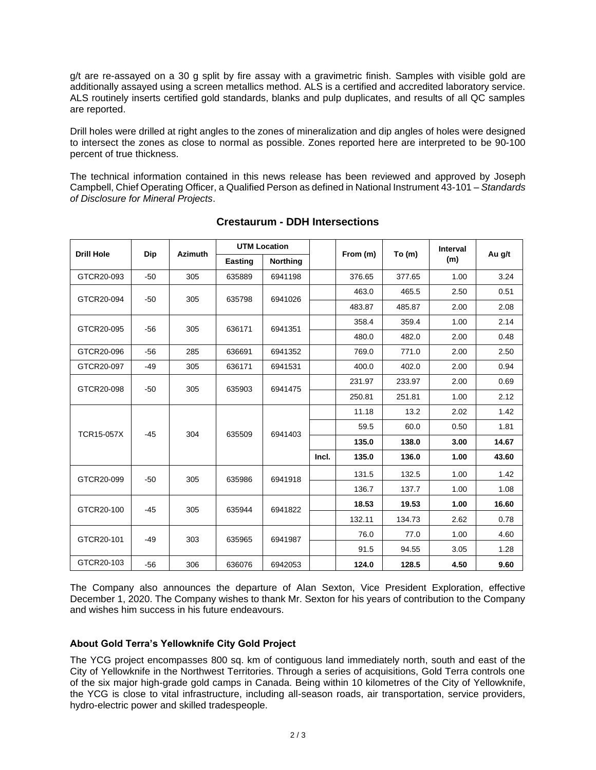g/t are re-assayed on a 30 g split by fire assay with a gravimetric finish. Samples with visible gold are additionally assayed using a screen metallics method. ALS is a certified and accredited laboratory service. ALS routinely inserts certified gold standards, blanks and pulp duplicates, and results of all QC samples are reported.

Drill holes were drilled at right angles to the zones of mineralization and dip angles of holes were designed to intersect the zones as close to normal as possible. Zones reported here are interpreted to be 90-100 percent of true thickness.

The technical information contained in this news release has been reviewed and approved by Joseph Campbell, Chief Operating Officer, a Qualified Person as defined in National Instrument 43-101 – *Standards of Disclosure for Mineral Projects*.

| <b>Drill Hole</b> | Dip   | <b>Azimuth</b> | <b>UTM Location</b> |                 |       |          |        | <b>Interval</b> |        |
|-------------------|-------|----------------|---------------------|-----------------|-------|----------|--------|-----------------|--------|
|                   |       |                | Easting             | <b>Northing</b> |       | From (m) | To(m)  | (m)             | Au g/t |
| GTCR20-093        | $-50$ | 305            | 635889              | 6941198         |       | 376.65   | 377.65 | 1.00            | 3.24   |
| GTCR20-094        | $-50$ | 305            | 635798              | 6941026         |       | 463.0    | 465.5  | 2.50            | 0.51   |
|                   |       |                |                     |                 |       | 483.87   | 485.87 | 2.00            | 2.08   |
| GTCR20-095        | $-56$ | 305            | 636171              | 6941351         |       | 358.4    | 359.4  | 1.00            | 2.14   |
|                   |       |                |                     |                 |       | 480.0    | 482.0  | 2.00            | 0.48   |
| GTCR20-096        | $-56$ | 285            | 636691              | 6941352         |       | 769.0    | 771.0  | 2.00            | 2.50   |
| GTCR20-097        | $-49$ | 305            | 636171              | 6941531         |       | 400.0    | 402.0  | 2.00            | 0.94   |
| GTCR20-098        | $-50$ | 305            | 635903              | 6941475         |       | 231.97   | 233.97 | 2.00            | 0.69   |
|                   |       |                |                     |                 |       | 250.81   | 251.81 | 1.00            | 2.12   |
| <b>TCR15-057X</b> | $-45$ | 304            | 635509              | 6941403         |       | 11.18    | 13.2   | 2.02            | 1.42   |
|                   |       |                |                     |                 |       | 59.5     | 60.0   | 0.50            | 1.81   |
|                   |       |                |                     |                 |       | 135.0    | 138.0  | 3.00            | 14.67  |
|                   |       |                |                     |                 | Incl. | 135.0    | 136.0  | 1.00            | 43.60  |
| GTCR20-099        | $-50$ | 305            | 635986              | 6941918         |       | 131.5    | 132.5  | 1.00            | 1.42   |
|                   |       |                |                     |                 |       | 136.7    | 137.7  | 1.00            | 1.08   |
| GTCR20-100        | $-45$ | 305            | 635944              | 6941822         |       | 18.53    | 19.53  | 1.00            | 16.60  |
|                   |       |                |                     |                 |       | 132.11   | 134.73 | 2.62            | 0.78   |
| GTCR20-101        | $-49$ | 303            | 635965              | 6941987         |       | 76.0     | 77.0   | 1.00            | 4.60   |
|                   |       |                |                     |                 |       | 91.5     | 94.55  | 3.05            | 1.28   |
| GTCR20-103        | $-56$ | 306            | 636076              | 6942053         |       | 124.0    | 128.5  | 4.50            | 9.60   |

# **Crestaurum - DDH Intersections**

The Company also announces the departure of Alan Sexton, Vice President Exploration, effective December 1, 2020. The Company wishes to thank Mr. Sexton for his years of contribution to the Company and wishes him success in his future endeavours.

### **About Gold Terra's Yellowknife City Gold Project**

The YCG project encompasses 800 sq. km of contiguous land immediately north, south and east of the City of Yellowknife in the Northwest Territories. Through a series of acquisitions, Gold Terra controls one of the six major high-grade gold camps in Canada. Being within 10 kilometres of the City of Yellowknife, the YCG is close to vital infrastructure, including all-season roads, air transportation, service providers, hydro-electric power and skilled tradespeople.